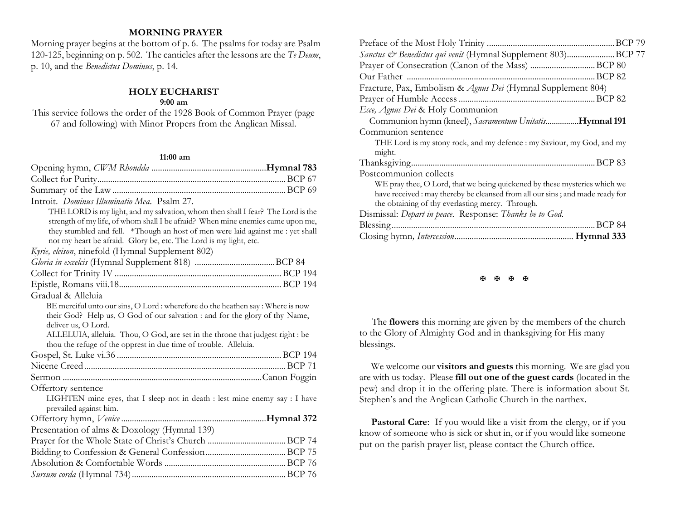# **MORNING PRAYER**

Morning prayer begins at the bottom of p. 6. The psalms for today are Psalm 120-125, beginning on p. 502. The canticles after the lessons are the *Te Deum*, p. 10, and the *Benedictus Dominus*, p. 14.

### **HOLY EUCHARIST 9:00 am**

This service follows the order of the 1928 Book of Common Prayer (page 67 and following) with Minor Propers from the Anglican Missal.

## **11:00 am**

| Introit. Dominus Illuminatio Mea. Psalm 27.                                     |
|---------------------------------------------------------------------------------|
| THE LORD is my light, and my salvation, whom then shall I fear? The Lord is the |
| strength of my life, of whom shall I be afraid? When mine enemies came upon me, |
| they stumbled and fell. *Though an host of men were laid against me : yet shall |
| not my heart be afraid. Glory be, etc. The Lord is my light, etc.               |
| Kyrie, eleison, ninefold (Hymnal Supplement 802)                                |
|                                                                                 |
|                                                                                 |
|                                                                                 |
| Gradual & Alleluia                                                              |
| BE merciful unto our sins, O Lord : wherefore do the heathen say : Where is now |
| their God? Help us, O God of our salvation : and for the glory of thy Name,     |
| deliver us, O Lord.                                                             |
| ALLELUIA, alleluia. Thou, O God, are set in the throne that judgest right : be  |
| thou the refuge of the opprest in due time of trouble. Alleluia.                |
|                                                                                 |
|                                                                                 |
|                                                                                 |
| Offertory sentence                                                              |
| LIGHTEN mine eyes, that I sleep not in death : lest mine enemy say : I have     |
| prevailed against him.                                                          |
|                                                                                 |
| Presentation of alms & Doxology (Hymnal 139)                                    |
|                                                                                 |
|                                                                                 |
|                                                                                 |
|                                                                                 |

| Sanctus & Benedictus qui venit (Hymnal Supplement 803)BCP 77                 |  |
|------------------------------------------------------------------------------|--|
|                                                                              |  |
|                                                                              |  |
| Fracture, Pax, Embolism & Agnus Dei (Hymnal Supplement 804)                  |  |
|                                                                              |  |
| Ecce, Agnus Dei & Holy Communion                                             |  |
| Communion hymn (kneel), Sacramentum UnitatisHymnal 191                       |  |
| Communion sentence                                                           |  |
| THE Lord is my stony rock, and my defence : my Saviour, my God, and my       |  |
| might.                                                                       |  |
|                                                                              |  |
| Postcommunion collects                                                       |  |
| WE pray thee, O Lord, that we being quickened by these mysteries which we    |  |
| have received: may thereby be cleansed from all our sins; and made ready for |  |
| the obtaining of thy everlasting mercy. Through.                             |  |
| Dismissal: Depart in peace. Response: Thanks be to God.                      |  |
|                                                                              |  |
|                                                                              |  |
|                                                                              |  |

#### **H H H H**

 The **flowers** this morning are given by the members of the church to the Glory of Almighty God and in thanksgiving for His many blessings.

We welcome our **visitors and guests** this morning. We are glad you are with us today. Please **fill out one of the guest cards** (located in the pew) and drop it in the offering plate. There is information about St. Stephen's and the Anglican Catholic Church in the narthex.

Pastoral Care: If you would like a visit from the clergy, or if you know of someone who is sick or shut in, or if you would like someone put on the parish prayer list, please contact the Church office.